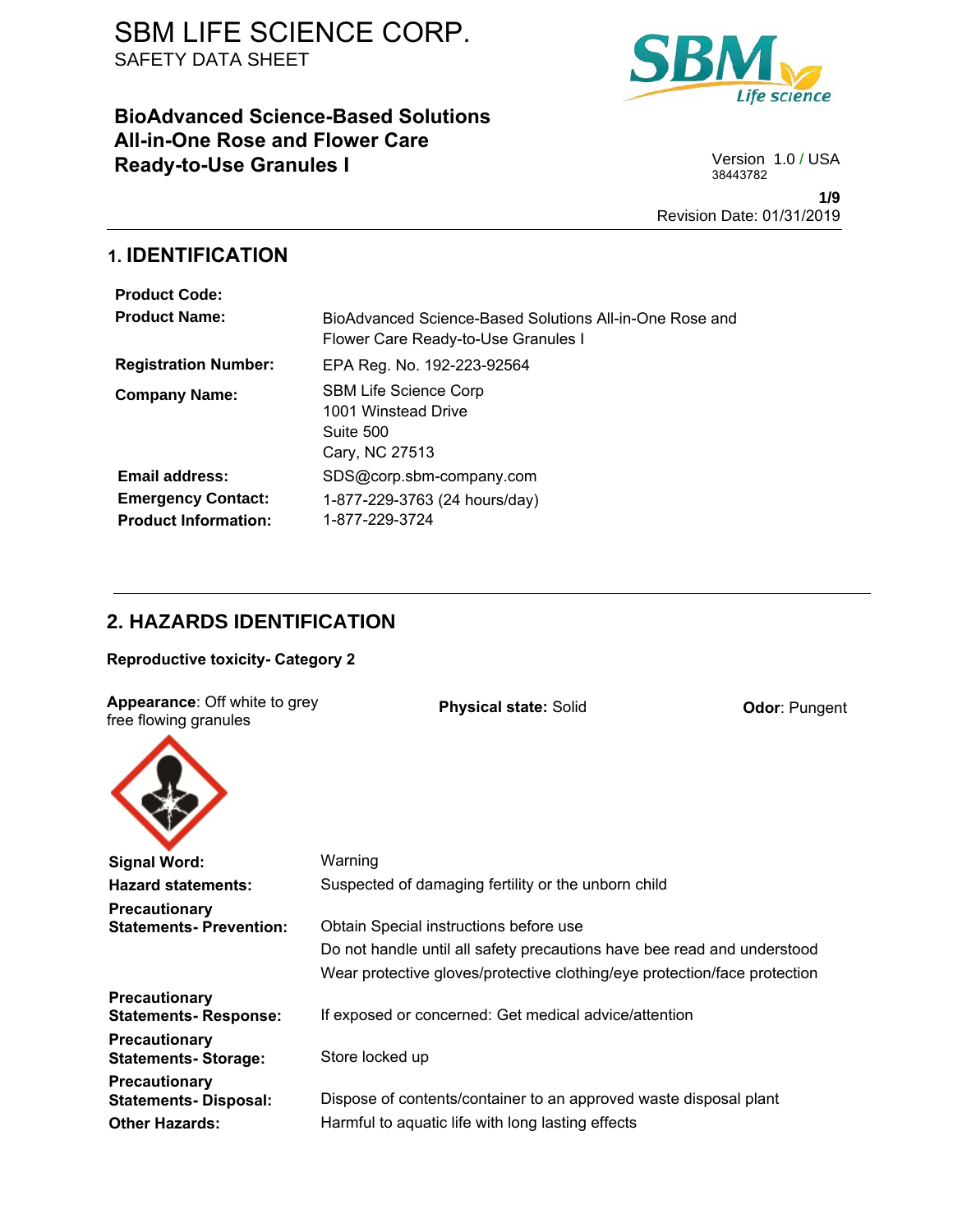# **BioAdvanced Science-Based Solutions All-in-One Rose and Flower Care Ready-to-Use Granules I** Version 1.0 / USA



38443782

**1/9** Revision Date: 01/31/2019

# **1. IDENTIFICATION**

| <b>Product Code:</b>        |                                                                                                |
|-----------------------------|------------------------------------------------------------------------------------------------|
| <b>Product Name:</b>        | BioAdvanced Science-Based Solutions All-in-One Rose and<br>Flower Care Ready-to-Use Granules I |
| <b>Registration Number:</b> | EPA Reg. No. 192-223-92564                                                                     |
| <b>Company Name:</b>        | <b>SBM Life Science Corp</b><br>1001 Winstead Drive<br>Suite 500<br>Cary, NC 27513             |
| <b>Email address:</b>       | SDS@corp.sbm-company.com                                                                       |
| <b>Emergency Contact:</b>   | 1-877-229-3763 (24 hours/day)                                                                  |
| <b>Product Information:</b> | 1-877-229-3724                                                                                 |

# **2. HAZARDS IDENTIFICATION**

**Reproductive toxicity- Category 2**

| <b>Appearance: Off white to grey</b><br>free flowing granules | <b>Physical state: Solid</b>                                              | <b>Odor: Pungent</b> |
|---------------------------------------------------------------|---------------------------------------------------------------------------|----------------------|
|                                                               |                                                                           |                      |
| <b>Signal Word:</b>                                           | Warning                                                                   |                      |
| <b>Hazard statements:</b>                                     | Suspected of damaging fertility or the unborn child                       |                      |
| <b>Precautionary</b>                                          |                                                                           |                      |
| <b>Statements-Prevention:</b>                                 | Obtain Special instructions before use                                    |                      |
|                                                               | Do not handle until all safety precautions have bee read and understood   |                      |
|                                                               | Wear protective gloves/protective clothing/eye protection/face protection |                      |
| <b>Precautionary</b><br><b>Statements-Response:</b>           | If exposed or concerned: Get medical advice/attention                     |                      |
| <b>Precautionary</b><br><b>Statements-Storage:</b>            | Store locked up                                                           |                      |
| <b>Precautionary</b><br><b>Statements-Disposal:</b>           | Dispose of contents/container to an approved waste disposal plant         |                      |
| <b>Other Hazards:</b>                                         | Harmful to aquatic life with long lasting effects                         |                      |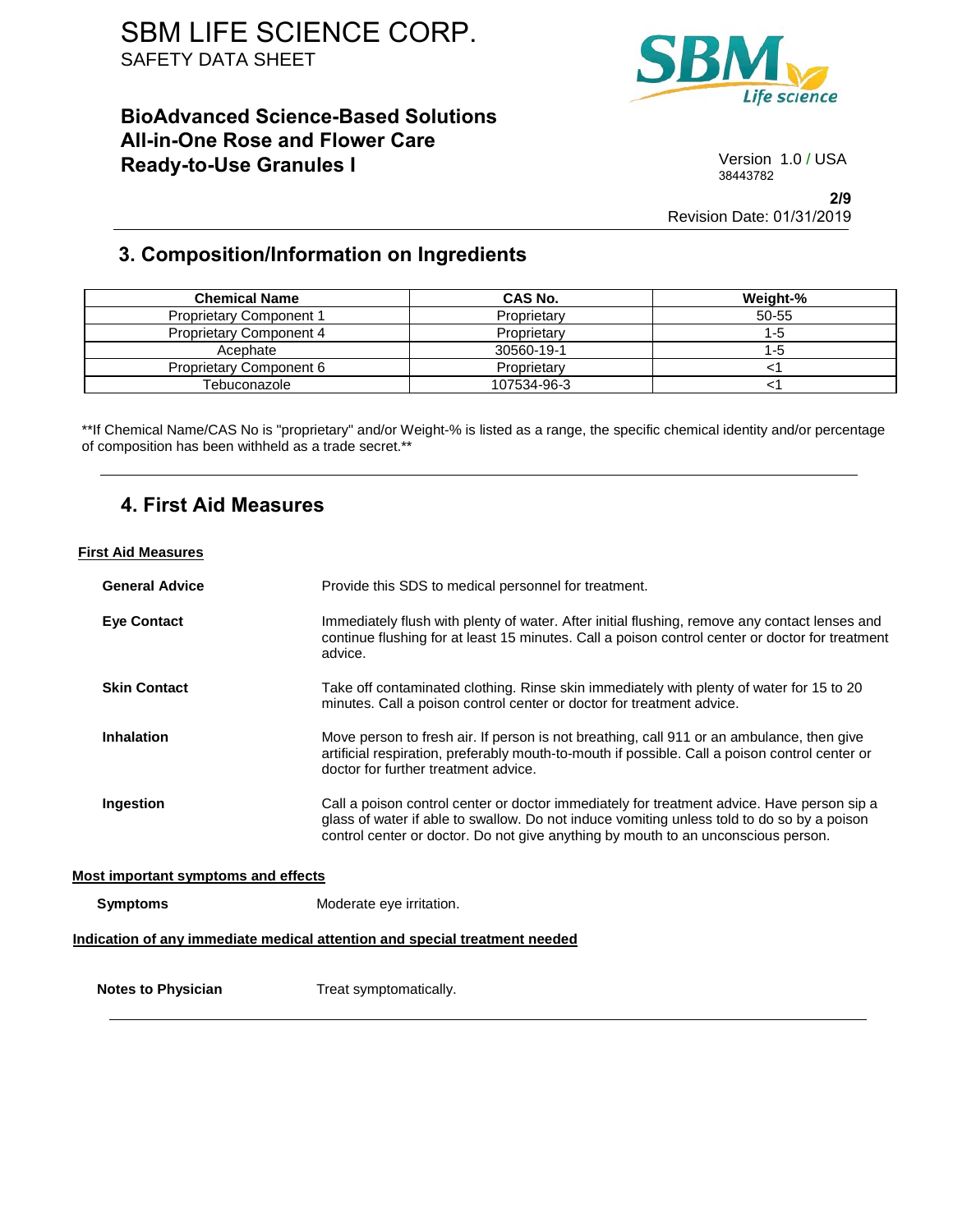## **BioAdvanced Science-Based Solutions All-in-One Rose and Flower Care Ready-to-Use Granules I** Version 1.0 / USA



38443782

**2/9** Revision Date: 01/31/2019

# **3. Composition/Information on Ingredients**

| <b>Chemical Name</b>           | CAS No.     | Weight-% |
|--------------------------------|-------------|----------|
| <b>Proprietary Component 1</b> | Proprietary | 50-55    |
| <b>Proprietary Component 4</b> | Proprietary | 1-5      |
| Acephate                       | 30560-19-1  | 1-5      |
| Proprietary Component 6        | Proprietary |          |
| Tebuconazole                   | 107534-96-3 |          |

\*\*If Chemical Name/CAS No is "proprietary" and/or Weight-% is listed as a range, the specific chemical identity and/or percentage of composition has been withheld as a trade secret.\*\*

## **4. First Aid Measures**

## **First Aid Measures**

| <b>General Advice</b>               | Provide this SDS to medical personnel for treatment.                                                                                                                                                                                                                          |
|-------------------------------------|-------------------------------------------------------------------------------------------------------------------------------------------------------------------------------------------------------------------------------------------------------------------------------|
| <b>Eye Contact</b>                  | Immediately flush with plenty of water. After initial flushing, remove any contact lenses and<br>continue flushing for at least 15 minutes. Call a poison control center or doctor for treatment<br>advice.                                                                   |
| <b>Skin Contact</b>                 | Take off contaminated clothing. Rinse skin immediately with plenty of water for 15 to 20<br>minutes. Call a poison control center or doctor for treatment advice.                                                                                                             |
| <b>Inhalation</b>                   | Move person to fresh air. If person is not breathing, call 911 or an ambulance, then give<br>artificial respiration, preferably mouth-to-mouth if possible. Call a poison control center or<br>doctor for further treatment advice.                                           |
| Ingestion                           | Call a poison control center or doctor immediately for treatment advice. Have person sip a<br>glass of water if able to swallow. Do not induce vomiting unless told to do so by a poison<br>control center or doctor. Do not give anything by mouth to an unconscious person. |
| Most important symptoms and effects |                                                                                                                                                                                                                                                                               |
| <b>Symptoms</b>                     | Moderate eye irritation.                                                                                                                                                                                                                                                      |
|                                     | Indication of any immediate medical attention and special treatment needed                                                                                                                                                                                                    |
| <b>Notes to Physician</b>           | Treat symptomatically.                                                                                                                                                                                                                                                        |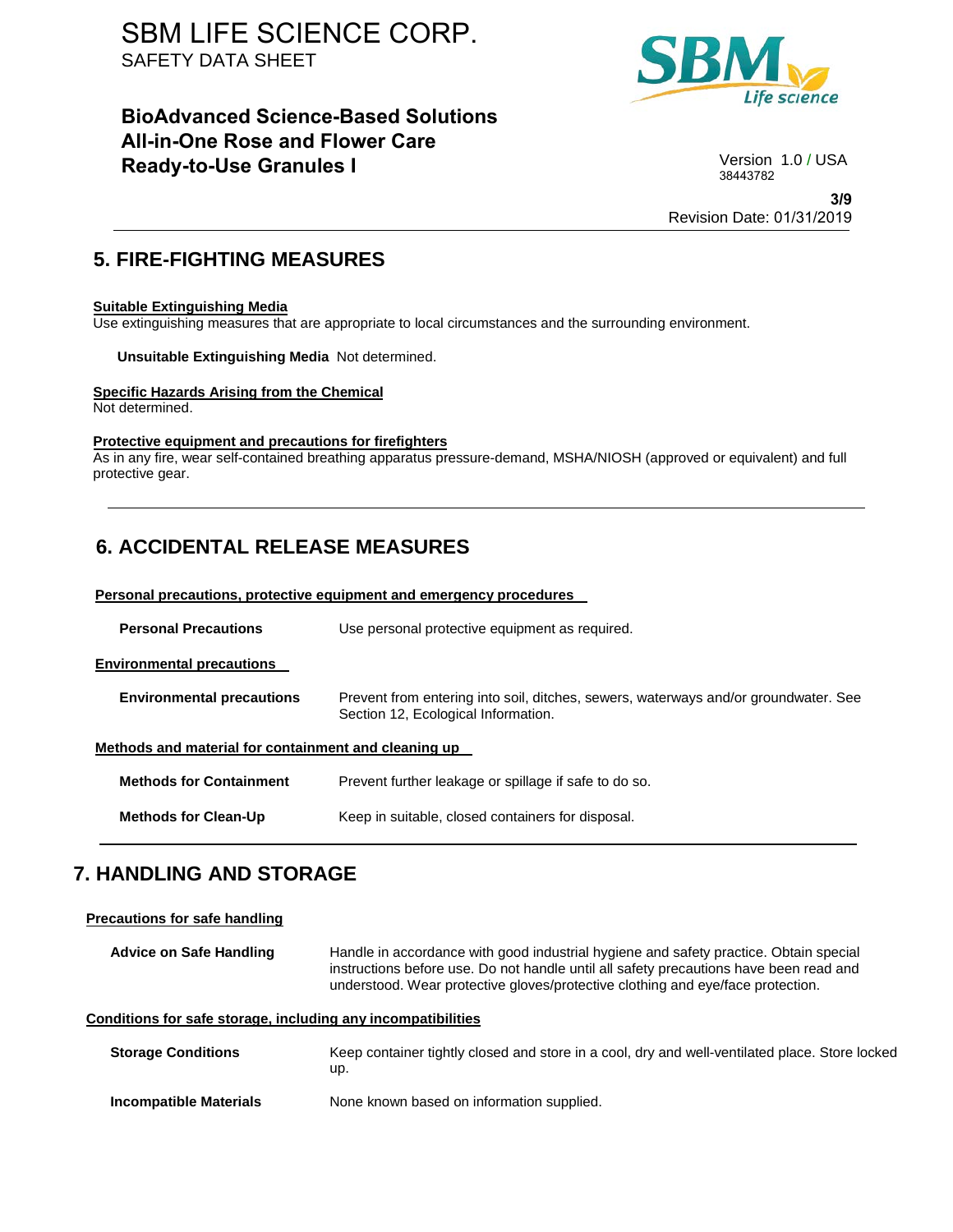# **BioAdvanced Science-Based Solutions All-in-One Rose and Flower Care Ready-to-Use Granules I** Version 1.0/USA



38443782

**3/9** Revision Date: 01/31/2019

## **5. FIRE-FIGHTING MEASURES**

### **Suitable Extinguishing Media**

Use extinguishing measures that are appropriate to local circumstances and the surrounding environment.

**Unsuitable Extinguishing Media** Not determined.

### **Specific Hazards Arising from the Chemical**

Not determined.

### **Protective equipment and precautions for firefighters**

As in any fire, wear self-contained breathing apparatus pressure-demand, MSHA/NIOSH (approved or equivalent) and full protective gear.

# **6. ACCIDENTAL RELEASE MEASURES**

| Personal precautions, protective equipment and emergency procedures |                                                                                                                            |  |  |  |
|---------------------------------------------------------------------|----------------------------------------------------------------------------------------------------------------------------|--|--|--|
| <b>Personal Precautions</b>                                         | Use personal protective equipment as required.                                                                             |  |  |  |
| <b>Environmental precautions</b>                                    |                                                                                                                            |  |  |  |
| <b>Environmental precautions</b>                                    | Prevent from entering into soil, ditches, sewers, waterways and/or groundwater. See<br>Section 12, Ecological Information. |  |  |  |
| Methods and material for containment and cleaning up                |                                                                                                                            |  |  |  |
| <b>Methods for Containment</b>                                      | Prevent further leakage or spillage if safe to do so.                                                                      |  |  |  |
| <b>Methods for Clean-Up</b>                                         | Keep in suitable, closed containers for disposal.                                                                          |  |  |  |

# **7. HANDLING AND STORAGE**

| <b>Precautions for safe handling</b>                         |                                                                                                                                                                                                                                                                    |
|--------------------------------------------------------------|--------------------------------------------------------------------------------------------------------------------------------------------------------------------------------------------------------------------------------------------------------------------|
| Advice on Safe Handling                                      | Handle in accordance with good industrial hygiene and safety practice. Obtain special<br>instructions before use. Do not handle until all safety precautions have been read and<br>understood. Wear protective gloves/protective clothing and eye/face protection. |
| Conditions for safe storage, including any incompatibilities |                                                                                                                                                                                                                                                                    |
| <b>Storage Conditions</b>                                    | Keep container tightly closed and store in a cool, dry and well-ventilated place. Store locked<br>up.                                                                                                                                                              |
| <b>Incompatible Materials</b>                                | None known based on information supplied.                                                                                                                                                                                                                          |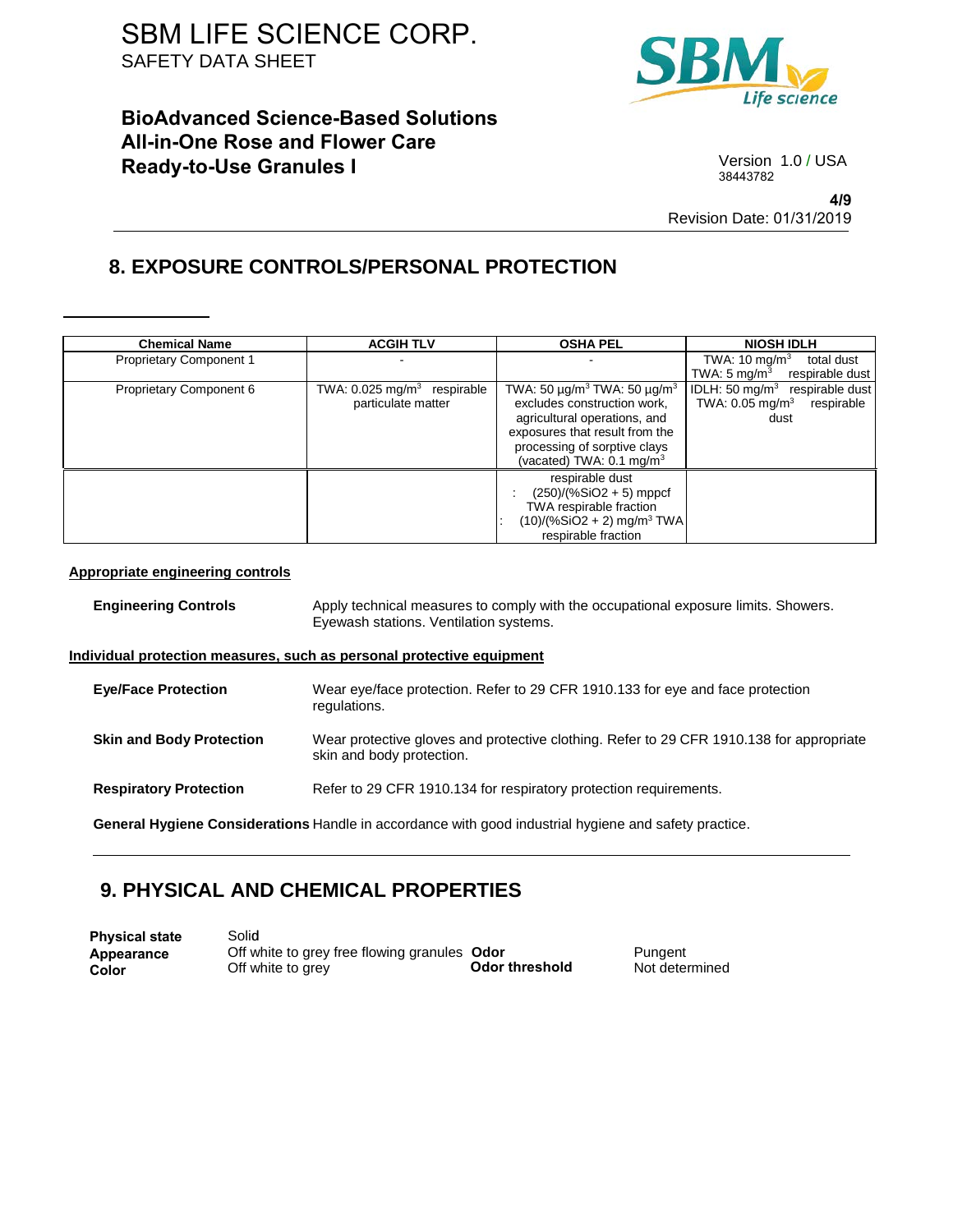# **BioAdvanced Science-Based Solutions All-in-One Rose and Flower Care Ready-to-Use Granules I** Version 1.0 / USA



38443782

**4/9** Revision Date: 01/31/2019

# **8. EXPOSURE CONTROLS/PERSONAL PROTECTION**

| <b>Chemical Name</b>           | <b>ACGIH TLV</b>                                                | <b>OSHA PEL</b>                                                                                                                                                                                                                       | <b>NIOSH IDLH</b>                                                                           |
|--------------------------------|-----------------------------------------------------------------|---------------------------------------------------------------------------------------------------------------------------------------------------------------------------------------------------------------------------------------|---------------------------------------------------------------------------------------------|
| <b>Proprietary Component 1</b> |                                                                 |                                                                                                                                                                                                                                       | TWA: $10 \text{ mg/m}^3$<br>total dust                                                      |
|                                |                                                                 |                                                                                                                                                                                                                                       | TWA: $5 \text{ mg/m}^3$<br>respirable dust                                                  |
| Proprietary Component 6        | TWA: $0.025$ mg/m <sup>3</sup> respirable<br>particulate matter | TWA: 50 $\mu$ g/m <sup>3</sup> TWA: 50 $\mu$ g/m <sup>3</sup><br>excludes construction work,<br>agricultural operations, and<br>exposures that result from the<br>processing of sorptive clays<br>(vacated) TWA: $0.1 \text{ mg/m}^3$ | IDLH: 50 mg/m $3$<br>respirable dust<br>TWA: $0.05$ mg/m <sup>3</sup><br>respirable<br>dust |
|                                |                                                                 | respirable dust<br>$(250)/(%SiO2 + 5)$ mppcf<br>TWA respirable fraction<br>$(10)/(%SiO2 + 2)$ mg/m <sup>3</sup> TWA<br>respirable fraction                                                                                            |                                                                                             |

### **Appropriate engineering controls**

| <b>Engineering Controls</b>     | Apply technical measures to comply with the occupational exposure limits. Showers.<br>Eyewash stations. Ventilation systems. |  |
|---------------------------------|------------------------------------------------------------------------------------------------------------------------------|--|
|                                 | Individual protection measures, such as personal protective equipment                                                        |  |
| <b>Eye/Face Protection</b>      | Wear eye/face protection. Refer to 29 CFR 1910.133 for eye and face protection<br>regulations.                               |  |
| <b>Skin and Body Protection</b> | Wear protective gloves and protective clothing. Refer to 29 CFR 1910.138 for appropriate<br>skin and body protection.        |  |
| <b>Respiratory Protection</b>   | Refer to 29 CFR 1910.134 for respiratory protection requirements.                                                            |  |
|                                 | General Hygiene Considerations Handle in accordance with good industrial hygiene and safety practice.                        |  |

## **9. PHYSICAL AND CHEMICAL PROPERTIES**

| <b>Physical state</b> | Solid                                        |                |                |
|-----------------------|----------------------------------------------|----------------|----------------|
| Appearance            | Off white to grey free flowing granules Odor | Odor threshold | Pungent        |
| Color                 | Off white to grey                            |                | Not determined |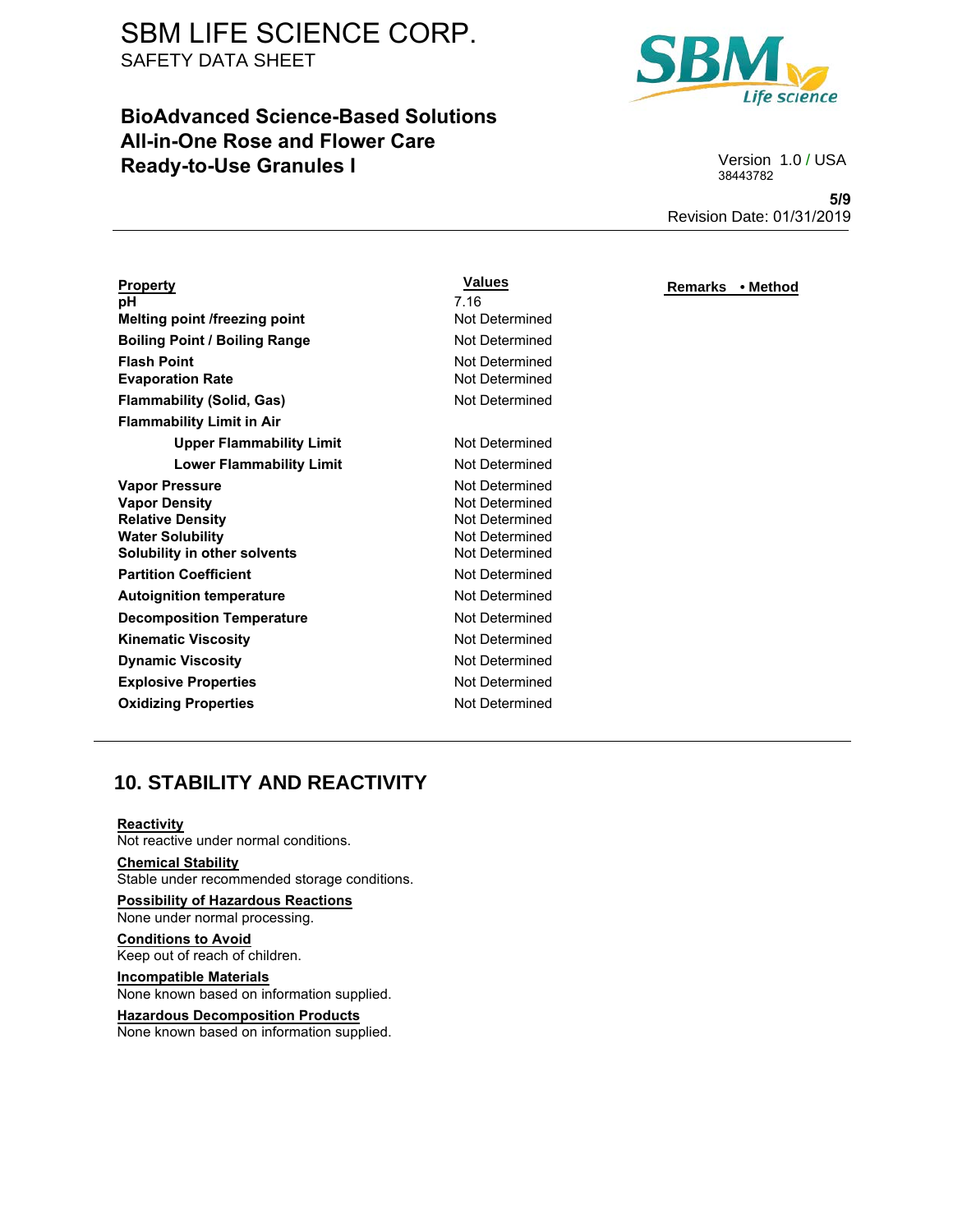# **BioAdvanced Science-Based Solutions All-in-One Rose and Flower Care Ready-to-Use Granules I** Version 1.0 / USA



38443782

**5/9** Revision Date: 01/31/2019

| <u>Property</u>                                                                                                   | Values                                                               |
|-------------------------------------------------------------------------------------------------------------------|----------------------------------------------------------------------|
| рH                                                                                                                | 7.16                                                                 |
| <b>Melting point /freezing point</b>                                                                              | Not Determined                                                       |
| <b>Boiling Point / Boiling Range</b>                                                                              | Not Determined                                                       |
| <b>Flash Point</b><br><b>Evaporation Rate</b>                                                                     | Not Determined<br>Not Determined                                     |
| <b>Flammability (Solid, Gas)</b>                                                                                  | Not Determined                                                       |
| <b>Flammability Limit in Air</b>                                                                                  |                                                                      |
| <b>Upper Flammability Limit</b>                                                                                   | Not Determined                                                       |
| <b>Lower Flammability Limit</b>                                                                                   | Not Determined                                                       |
| Vapor Pressure                                                                                                    | Not Determined                                                       |
| <b>Vapor Density</b><br><b>Relative Density</b><br><b>Water Solubility</b><br><b>Solubility in other solvents</b> | Not Determined<br>Not Determined<br>Not Determined<br>Not Determined |
| <b>Partition Coefficient</b>                                                                                      | Not Determined                                                       |
| Autoignition temperature                                                                                          | Not Determined                                                       |
| <b>Decomposition Temperature</b>                                                                                  | Not Determined                                                       |
| Kinematic Viscosity                                                                                               | Not Determined                                                       |
| <b>Dynamic Viscosity</b>                                                                                          | Not Determined                                                       |
| <b>Explosive Properties</b>                                                                                       | Not Determined                                                       |
| <b>Oxidizing Properties</b>                                                                                       | Not Determined                                                       |
|                                                                                                                   |                                                                      |

### **Values Remarks • Method**

# **10. STABILITY AND REACTIVITY**

#### **Reactivity**

Not reactive under normal conditions.

### **Chemical Stability**

Stable under recommended storage conditions.

### **Possibility of Hazardous Reactions**  None under normal processing.

**Conditions to Avoid**  Keep out of reach of children.

## **Incompatible Materials**  None known based on information supplied.

#### **Hazardous Decomposition Products**  None known based on information supplied.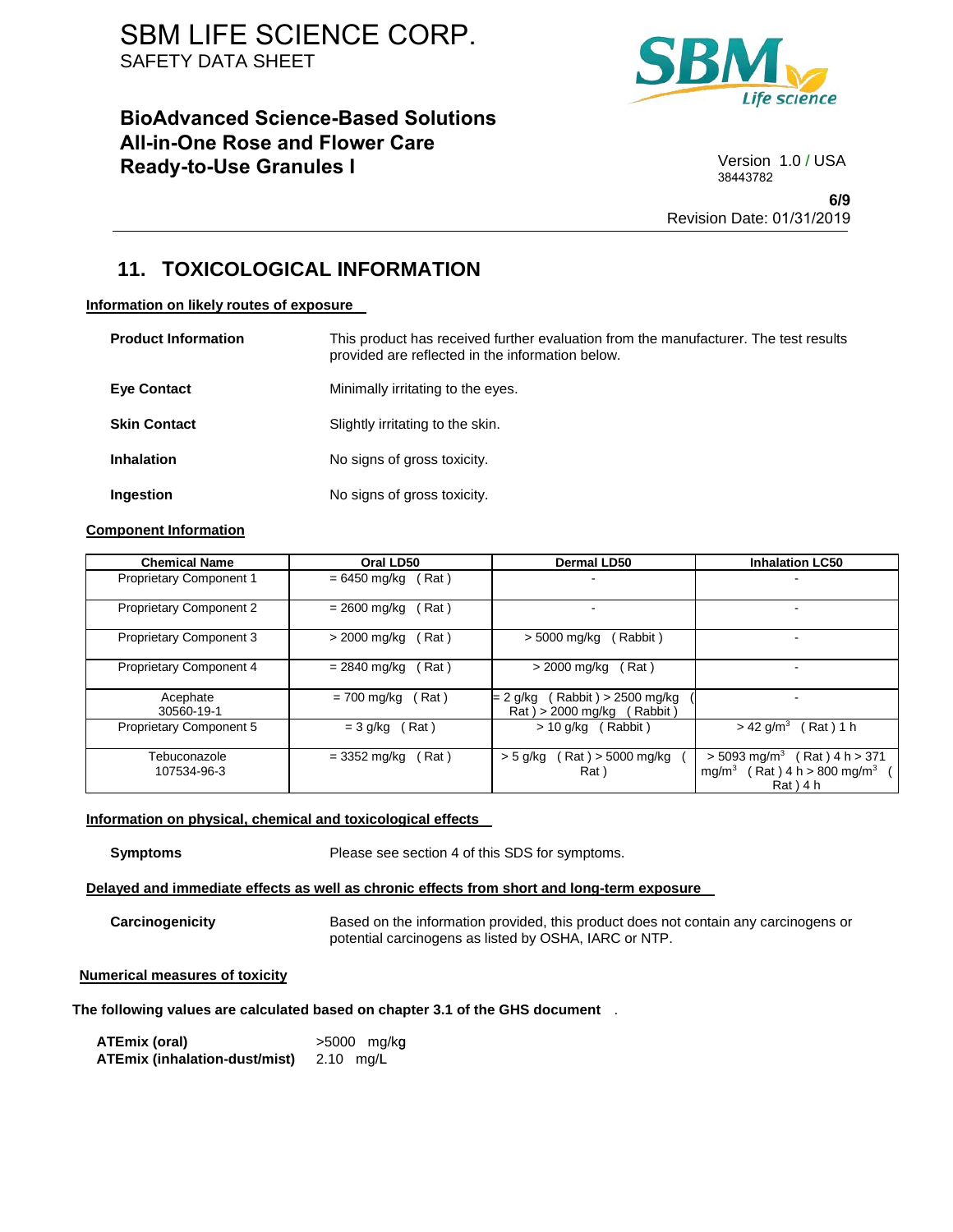# **BioAdvanced Science-Based Solutions All-in-One Rose and Flower Care Ready-to-Use Granules I** Version 1.0 / USA



38443782

**6/9** Revision Date: 01/31/2019

## **11. TOXICOLOGICAL INFORMATION**

#### **Information on likely routes of exposure**

| <b>Product Information</b> | This product has received further evaluation from the manufacturer. The test results<br>provided are reflected in the information below. |
|----------------------------|------------------------------------------------------------------------------------------------------------------------------------------|
| <b>Eve Contact</b>         | Minimally irritating to the eyes.                                                                                                        |
| <b>Skin Contact</b>        | Slightly irritating to the skin.                                                                                                         |
| <b>Inhalation</b>          | No signs of gross toxicity.                                                                                                              |
| Ingestion                  | No signs of gross toxicity.                                                                                                              |

## **Component Information**

| <b>Chemical Name</b>           | Oral LD50             | <b>Dermal LD50</b>                                                 | <b>Inhalation LC50</b>                                                                                            |
|--------------------------------|-----------------------|--------------------------------------------------------------------|-------------------------------------------------------------------------------------------------------------------|
| <b>Proprietary Component 1</b> | (Rat)<br>= 6450 mg/kg |                                                                    |                                                                                                                   |
| <b>Proprietary Component 2</b> | = 2600 mg/kg<br>Rat)  |                                                                    |                                                                                                                   |
| <b>Proprietary Component 3</b> | Rat)<br>> 2000 mg/kg  | (Rabbit)<br>> 5000 mg/kg                                           |                                                                                                                   |
| Proprietary Component 4        | Rat)<br>= 2840 mg/kg  | > 2000 mg/kg<br>(Rat)                                              |                                                                                                                   |
| Acephate<br>30560-19-1         | (Rat)<br>= 700 mg/kg  | (Rabbit) > 2500 mg/kg<br>= 2 g/kg<br>(Rabbit)<br>Rat) > 2000 mg/kg |                                                                                                                   |
| Proprietary Component 5        | Rat)<br>$=$ 3 g/kg    | $> 10$ g/kg (Rabbit)                                               | $(Rat)$ 1 h<br>$> 42$ g/m <sup>3</sup>                                                                            |
| Tebuconazole<br>107534-96-3    | = 3352 mg/kg<br>Rat)  | $Rat$ ) > 5000 mg/kg<br>$>$ 5 g/kg<br>Rat)                         | $> 5093$ mg/m <sup>3</sup><br>$(Rat)$ 4 h > 371<br>mg/m <sup>3</sup><br>(Rat ) 4 h > 800 mg/m $^3$<br>$Rat$ ) 4 h |

### **Information on physical, chemical and toxicological effects**

**Symptoms** Please see section 4 of this SDS for symptoms.

### **Delayed and immediate effects as well as chronic effects from short and long-term exposure**

**Carcinogenicity** Based on the information provided, this product does not contain any carcinogens or potential carcinogens as listed by OSHA, IARC or NTP.

## **Numerical measures of toxicity**

**The following values are calculated based on chapter 3.1 of the GHS document** .

| ATEmix (oral)                 |             | >5000 mg/kg |
|-------------------------------|-------------|-------------|
| ATEmix (inhalation-dust/mist) | 2.10 $mq/L$ |             |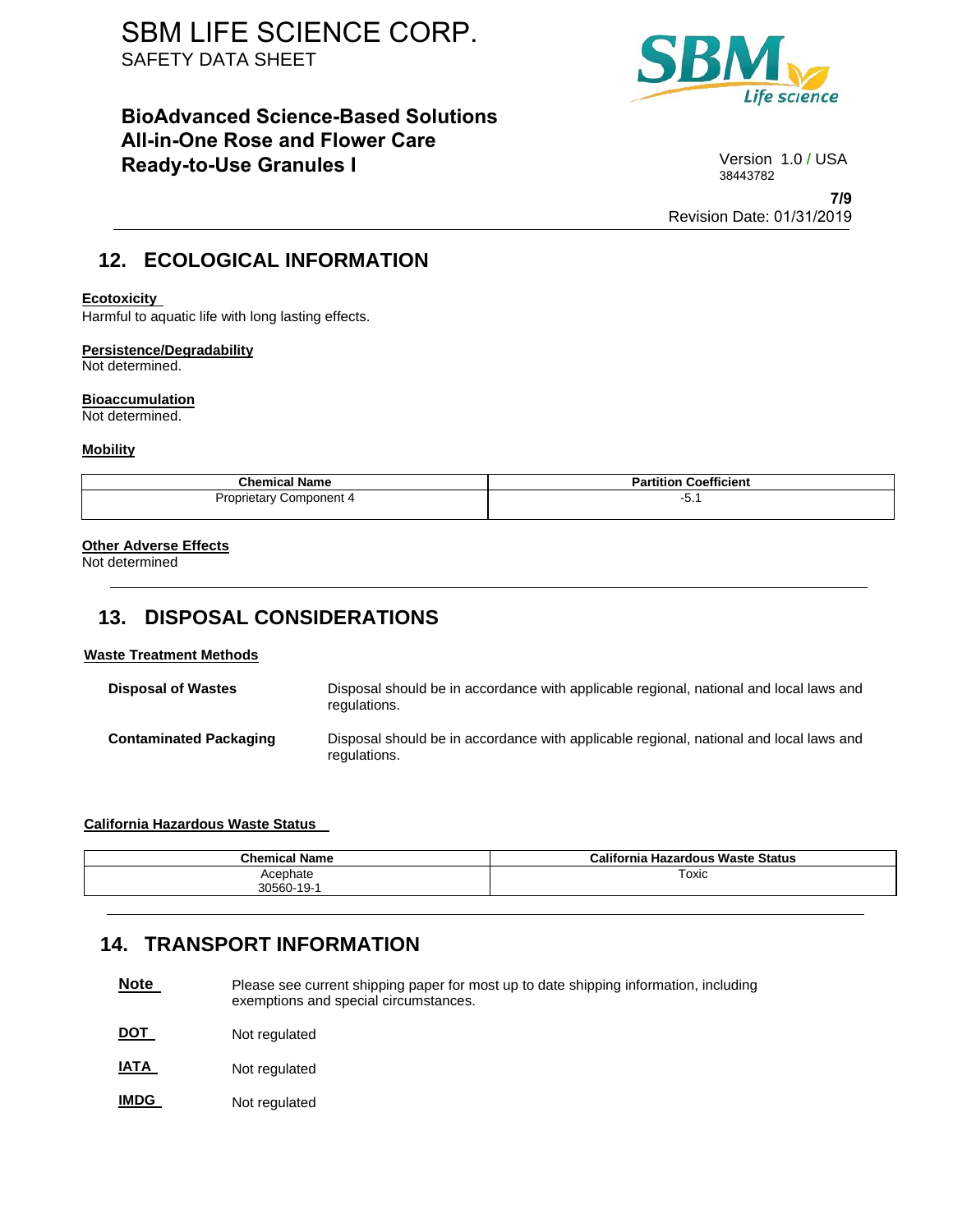## **BioAdvanced Science-Based Solutions All-in-One Rose and Flower Care Ready-to-Use Granules I** Version 1.0 / USA



38443782

**7/9** Revision Date: 01/31/2019

# **12. ECOLOGICAL INFORMATION**

### **Ecotoxicity**

Harmful to aquatic life with long lasting effects.

### **Persistence/Degradability**

Not determined.

### **Bioaccumulation**

Not determined.

### **Mobility**

| <b>Chemical Name</b>    | <b>Partition Coefficient</b> |  |
|-------------------------|------------------------------|--|
| Proprietary Component 4 | −∪. .                        |  |

### **Other Adverse Effects**

Not determined

# **13. DISPOSAL CONSIDERATIONS**

## **Waste Treatment Methods**

| <b>Disposal of Wastes</b>     | Disposal should be in accordance with applicable regional, national and local laws and<br>regulations. |
|-------------------------------|--------------------------------------------------------------------------------------------------------|
| <b>Contaminated Packaging</b> | Disposal should be in accordance with applicable regional, national and local laws and<br>regulations. |

### **California Hazardous Waste Status**

| <b>Chemical Name</b> | California Hazardous Waste Status |
|----------------------|-----------------------------------|
| Acephate             | Toxic                             |
| 30560-19-1           |                                   |

## **14. TRANSPORT INFORMATION**

- **Note**  Please see current shipping paper for most up to date shipping information, including exemptions and special circumstances.
- **DOT**  Not regulated
- **IATA**  Not regulated
- **IMDG**  Not regulated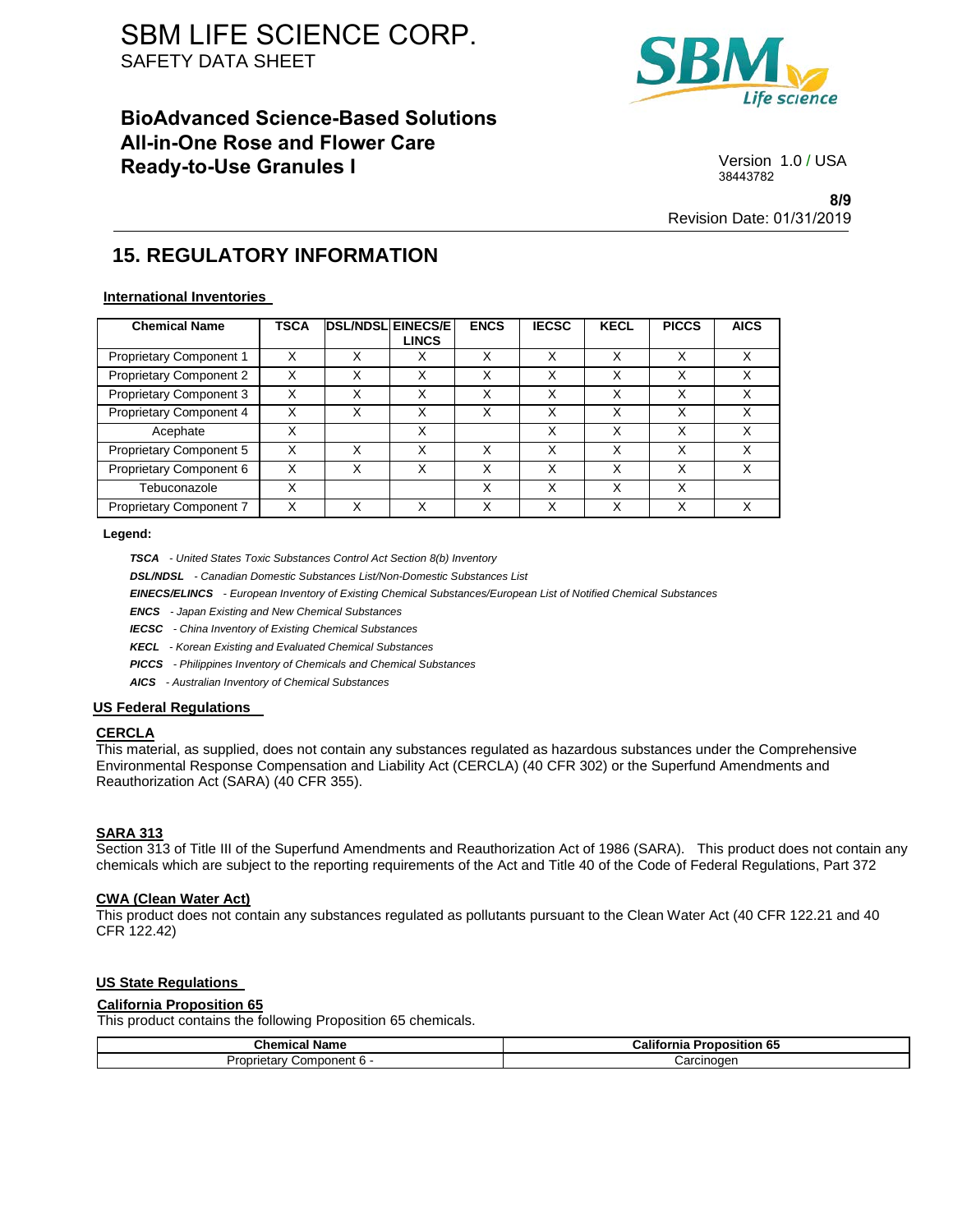# **BioAdvanced Science-Based Solutions All-in-One Rose and Flower Care Ready-to-Use Granules I** Version 1.0/USA



38443782

**8/9** Revision Date: 01/31/2019

# **15. REGULATORY INFORMATION**

### **International Inventories**

| <b>Chemical Name</b>    | <b>TSCA</b> | <b>IDSL/NDSLIEINECS/EI</b> | <b>LINCS</b> | <b>ENCS</b> | <b>IECSC</b> | <b>KECL</b> | <b>PICCS</b> | <b>AICS</b> |
|-------------------------|-------------|----------------------------|--------------|-------------|--------------|-------------|--------------|-------------|
| Proprietary Component 1 | X           | Χ                          | х            | X           | Χ            | Χ           | Χ            | x           |
| Proprietary Component 2 | X           | Χ                          | X            | X           | Χ            | Χ           | X            |             |
| Proprietary Component 3 | x           | Χ                          | Χ            | X           | Χ            | x           | Χ            | x           |
| Proprietary Component 4 | x           | Χ                          | X            | X           | X            | Χ           | x            | х           |
| Acephate                | x           |                            | X            |             | Χ            | X           | x            | x           |
| Proprietary Component 5 | X           | X                          | X            | X           | Χ            | Χ           | X            | X           |
| Proprietary Component 6 | x           | Χ                          | X            | X           | Χ            | Χ           | X            | x           |
| Tebuconazole            | x           |                            |              | X           | Χ            | x           | X            |             |
| Proprietary Component 7 | Χ           | Χ                          | x            | X           | Χ            | Χ           | Χ            | x           |

#### **Legend:**

*TSCA - United States Toxic Substances Control Act Section 8(b) Inventory* 

*DSL/NDSL - Canadian Domestic Substances List/Non-Domestic Substances List* 

*EINECS/ELINCS - European Inventory of Existing Chemical Substances/European List of Notified Chemical Substances* 

*ENCS - Japan Existing and New Chemical Substances* 

*IECSC - China Inventory of Existing Chemical Substances* 

*KECL - Korean Existing and Evaluated Chemical Substances* 

*PICCS - Philippines Inventory of Chemicals and Chemical Substances* 

*AICS - Australian Inventory of Chemical Substances* 

### **US Federal Regulations**

### **CERCLA**

This material, as supplied, does not contain any substances regulated as hazardous substances under the Comprehensive Environmental Response Compensation and Liability Act (CERCLA) (40 CFR 302) or the Superfund Amendments and Reauthorization Act (SARA) (40 CFR 355).

### **SARA 313**

Section 313 of Title III of the Superfund Amendments and Reauthorization Act of 1986 (SARA). This product does not contain any chemicals which are subject to the reporting requirements of the Act and Title 40 of the Code of Federal Regulations, Part 372

### **CWA (Clean Water Act)**

This product does not contain any substances regulated as pollutants pursuant to the Clean Water Act (40 CFR 122.21 and 40 CFR 122.42)

### **US State Regulations**

## **California Proposition 65**

This product contains the following Proposition 65 chemicals.

| $R_{\rm beam}$<br>Name<br>Chemical | <br>- -<br>- 65<br>Proposition<br>California |  |
|------------------------------------|----------------------------------------------|--|
| - omponent 6 ت                     | ∶arcınoɑen                                   |  |
| Proprietary                        | ی س                                          |  |